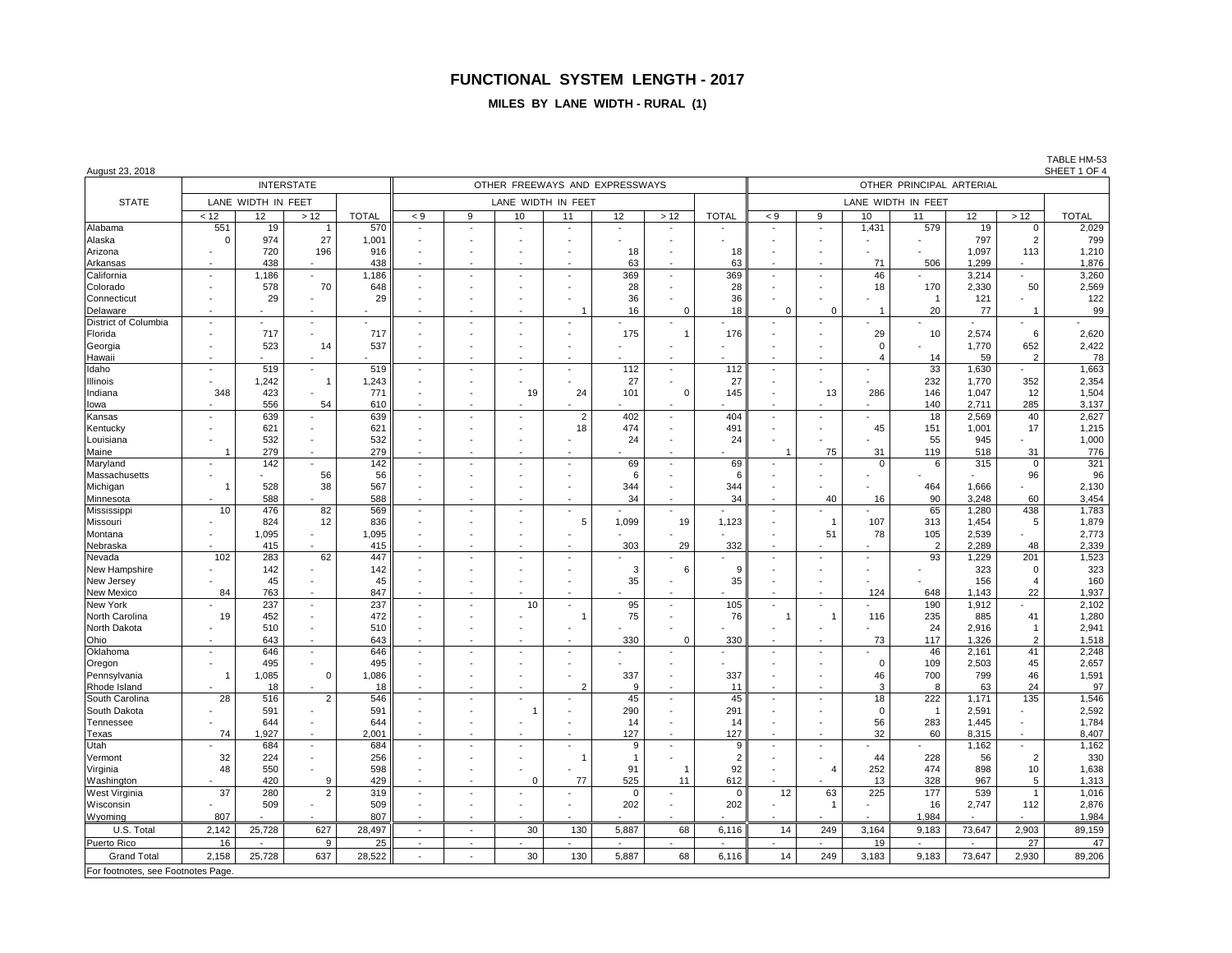#### **MILES BY LANE WIDTH - RURAL (1)**

| August 23, 2018                |                 |                    |                          |              |                          |        |                          |                    |                                |              |              |                    |                                |                |                |              |                               | SHEET 1 OF 4   |  |
|--------------------------------|-----------------|--------------------|--------------------------|--------------|--------------------------|--------|--------------------------|--------------------|--------------------------------|--------------|--------------|--------------------|--------------------------------|----------------|----------------|--------------|-------------------------------|----------------|--|
|                                |                 |                    | <b>INTERSTATE</b>        |              |                          |        |                          |                    | OTHER FREEWAYS AND EXPRESSWAYS |              |              |                    | OTHER PRINCIPAL ARTERIAL       |                |                |              |                               |                |  |
| <b>STATE</b>                   |                 | LANE WIDTH IN FEET |                          |              |                          |        |                          | LANE WIDTH IN FEET |                                |              |              | LANE WIDTH IN FEET |                                |                |                |              |                               |                |  |
|                                | < 12            | 12 <sup>2</sup>    | $>12$                    | <b>TOTAL</b> | < 9                      | 9      | 10                       | 11                 | 12                             | > 12         | <b>TOTAL</b> | $< 9$              | 9                              | 10             | 11             | 12           | >12                           | <b>TOTAL</b>   |  |
| Alabama                        | 551<br>$\Omega$ | 19<br>974          | -1<br>27                 | 570          |                          |        |                          | $\blacksquare$     |                                |              |              |                    | $\sim$                         | 1,431          | 579            | 19<br>797    | $\mathbf 0$<br>$\overline{2}$ | 2,029<br>799   |  |
| Alaska                         |                 | 720                | 196                      | 1,001<br>916 |                          |        |                          |                    | 18                             |              | 18           |                    |                                |                |                | 1,097        | 113                           | 1,210          |  |
| Arizona<br>Arkansas            |                 | 438                |                          | 438          |                          |        |                          |                    | 63                             |              | 63           |                    | $\overline{\phantom{a}}$       | 71             | 506            | 1.299        |                               | 1,876          |  |
| California                     | $\overline{a}$  | 1,186              |                          | 1.186        | $\sim$                   | $\sim$ | $\overline{a}$           | $\sim$             | 369                            |              | 369          |                    | $\sim$                         | 46             |                | 3,214        |                               | 3,260          |  |
| Colorado                       |                 | 578                | 70                       | 648          |                          |        |                          |                    | 28                             |              | 28           |                    |                                | 18             | 170            | 2,330        | 50                            | 2,569          |  |
| Connecticut                    |                 | 29                 |                          | 29           |                          |        |                          |                    | 36                             |              | 36           |                    |                                |                | $\overline{1}$ | 121          |                               | 122            |  |
| Delaware                       |                 |                    |                          |              |                          |        |                          |                    | 16                             | $\Omega$     | 18           | $\Omega$           | $\Omega$                       | $\overline{1}$ | 20             | 77           | $\overline{1}$                | 99             |  |
| District of Columbia           |                 |                    | $\sim$                   |              | $\sim$                   |        | $\overline{a}$           |                    |                                |              |              |                    |                                |                |                |              |                               |                |  |
| Florida                        |                 | 717                |                          | 717          |                          |        |                          |                    | 175                            | $\mathbf{1}$ | 176          |                    |                                | 29             | 10             | 2,574        | 6                             | 2,620          |  |
| Georgia                        |                 | 523                | 14                       | 537          |                          |        |                          |                    |                                |              |              |                    |                                | $\Omega$       |                | 1,770        | 652                           | 2,422          |  |
| Hawaii                         |                 |                    |                          |              |                          |        |                          |                    |                                |              |              |                    |                                | 4              | 14             | 59           | $\overline{2}$                | 78             |  |
| Idaho                          |                 | 519                |                          | 519          | $\sim$                   |        | $\overline{a}$           |                    | 112                            |              | 112          |                    | $\sim$                         |                | 33             | 1.630        |                               | 1,663          |  |
| Illinois                       |                 | 1.242              | $\overline{1}$           | 1.243        |                          |        |                          |                    | 27                             |              | 27           |                    |                                |                | 232            | 1,770        | 352                           | 2,354          |  |
| Indiana                        | 348             | 423                |                          | 771          |                          |        | 19                       | 24                 | 101                            | $\Omega$     | 145          |                    | 13                             | 286            | 146            | 1,047        | 12                            | 1,504          |  |
| lowa                           |                 | 556                | 54                       | 610          | $\blacksquare$           |        |                          |                    |                                |              |              |                    |                                |                | 140            | 2,711        | 285                           | 3,137          |  |
| Kansas                         |                 | 639                |                          | 639          | $\blacksquare$           |        | $\overline{\phantom{a}}$ | $\overline{2}$     | 402                            |              | 404          |                    | $\blacksquare$                 |                | 18             | 2,569        | 40                            | 2,627          |  |
| Kentucky                       |                 | 621                |                          | 621          |                          |        |                          | 18                 | 474                            |              | 491          |                    |                                | 45             | 151            | 1,001        | 17                            | 1,215          |  |
| Louisiana                      |                 | 532                |                          | 532          |                          |        |                          |                    | 24                             |              | 24           |                    |                                |                | 55             | 945          |                               | 1,000          |  |
| Maine                          | -1              | 279                |                          | 279          |                          |        |                          |                    |                                |              |              | $\overline{1}$     | 75                             | 31             | 119            | 518          | 31                            | 776            |  |
| Maryland                       |                 | 142                |                          | 142          | $\overline{\phantom{a}}$ |        |                          |                    | 69                             |              | 69           |                    |                                | $\Omega$       | 6              | 315          | $\mathbf 0$                   | 321            |  |
| Massachusetts                  |                 |                    | 56                       | 56           |                          |        |                          |                    | 6                              |              | 6            |                    |                                |                |                |              | 96                            | 96             |  |
| Michigan                       | -1              | 528                | 38                       | 567          |                          |        |                          |                    | 344                            |              | 344          |                    |                                |                | 464            | 1,666        |                               | 2,130          |  |
| Minnesota                      |                 | 588                |                          | 588          |                          |        |                          |                    | 34                             |              | 34           |                    | 40                             | 16             | 90             | 3,248        | 60                            | 3,454          |  |
| Mississippi                    | 10              | 476                | 82                       | 569          |                          |        |                          |                    |                                |              |              |                    |                                |                | 65             | 1,280        | 438                           | 1,783          |  |
| Missouri                       |                 | 824                | 12                       | 836          |                          |        |                          | 5                  | 1,099                          | 19           | 1,123        |                    | $\overline{1}$                 | 107            | 313            | 1,454        | 5                             | 1,879          |  |
| Montana                        |                 | 1,095              | $\blacksquare$           | 1,095        |                          |        |                          |                    |                                |              |              |                    | 51                             | 78             | 105            | 2,539        |                               | 2,773          |  |
| Nebraska                       |                 | 415                |                          | 415          |                          |        |                          |                    | 303                            | 29           | 332          |                    |                                |                | $\overline{2}$ | 2,289        | 48                            | 2,339          |  |
| Nevada                         | 102             | 283                | 62                       | 447          | $\overline{\phantom{a}}$ |        |                          |                    |                                |              |              |                    |                                |                | 93             | 1,229        | 201                           | 1,523          |  |
| New Hampshire                  |                 | 142                |                          | 142          |                          |        |                          |                    | 3                              | 6            | 9            |                    |                                |                |                | 323          | $\Omega$                      | 323            |  |
| New Jersey                     |                 | 45                 |                          | 45           |                          |        |                          |                    | 35                             |              | 35           |                    |                                |                |                | 156          | $\boldsymbol{\Delta}$         | 160            |  |
| New Mexico                     | 84              | 763                |                          | 847          |                          |        |                          |                    |                                |              |              |                    | $\overline{\phantom{a}}$       | 124            | 648            | 1,143        | 22                            | 1,937          |  |
| New York                       |                 | 237                | $\sim$                   | 237          | $\overline{a}$           |        | 10                       | $\sim$             | 95<br>75                       |              | 105          |                    | $\overline{a}$<br>$\mathbf{1}$ |                | 190            | 1,912        | 41                            | 2,102          |  |
| North Carolina<br>North Dakota | 19              | 452<br>510         | $\sim$                   | 472<br>510   |                          |        |                          |                    |                                |              | 76           |                    |                                | 116            | 235<br>24      | 885<br>2,916 | $\mathbf{1}$                  | 1,280<br>2,941 |  |
| Ohio                           |                 | 643                | $\blacksquare$           | 643          | $\overline{\phantom{a}}$ |        |                          |                    | 330                            | $\mathbf 0$  | 330          |                    |                                | 73             | 117            | 1,326        | $\overline{2}$                | 1,518          |  |
| Oklahoma                       |                 | 646                | $\blacksquare$           | 646          | $\blacksquare$           |        |                          |                    |                                |              |              |                    |                                |                | 46             | 2,161        | 41                            | 2,248          |  |
| Oregon                         |                 | 495                |                          | 495          |                          |        |                          |                    |                                |              |              |                    |                                | $\Omega$       | 109            | 2,503        | 45                            | 2,657          |  |
| Pennsylvania                   | $\overline{1}$  | 1,085              | $\mathbf 0$              | 1,086        |                          |        |                          |                    | 337                            |              | 337          |                    |                                | 46             | 700            | 799          | 46                            | 1,591          |  |
| Rhode Island                   |                 | 18                 |                          | 18           | $\sim$                   |        | $\overline{a}$           |                    | 9                              |              | 11           | $\sim$             | $\sim$                         | 3              | 8              | 63           | 24                            | 97             |  |
| South Carolina                 | 28              | 516                | $\overline{2}$           | 546          |                          |        |                          |                    | 45                             |              | 45           |                    |                                | 18             | 222            | 1,171        | 135                           | 1,546          |  |
| South Dakota                   |                 | 591                |                          | 591          |                          |        | -1                       |                    | 290                            |              | 291          |                    |                                | $\Omega$       | $\overline{1}$ | 2,591        |                               | 2,592          |  |
| Tennessee                      |                 | 644                |                          | 644          |                          |        |                          |                    | 14                             |              | 14           |                    |                                | 56             | 283            | 1,445        |                               | 1,784          |  |
| Texas                          | 74              | 1,927              |                          | 2,001        |                          |        |                          |                    | 127                            |              | 127          |                    |                                | 32             | 60             | 8,315        |                               | 8,407          |  |
| Utah                           |                 | 684                | $\sim$                   | 684          | $\overline{\phantom{a}}$ |        | $\blacksquare$           |                    | 9                              |              | 9            |                    | $\blacksquare$                 |                |                | 1,162        |                               | 1,162          |  |
| Vermont                        | 32              | 224                |                          | 256          |                          |        |                          | -1                 | -1                             |              | 2            |                    |                                | 44             | 228            | 56           | $\overline{2}$                | 330            |  |
| Virginia                       | 48              | 550                |                          | 598          | $\overline{\phantom{a}}$ |        |                          |                    | 91                             |              | 92           |                    | $\overline{4}$                 | 252            | 474            | 898          | 10                            | 1,638          |  |
| Washington                     |                 | 420                | 9                        | 429          | $\overline{a}$           |        | $\Omega$                 | 77                 | 525                            | 11           | 612          |                    |                                | 13             | 328            | 967          | 5                             | 1,313          |  |
| West Virginia                  | 37              | 280                | $\overline{2}$           | 319          | $\overline{\phantom{a}}$ |        |                          |                    | $\mathbf 0$                    |              | $\Omega$     | 12                 | 63                             | 225            | 177            | 539          | $\overline{1}$                | 1,016          |  |
| Wisconsin                      |                 | 509                | $\overline{\phantom{a}}$ | 509          |                          |        |                          |                    | 202                            |              | 202          |                    | $\overline{1}$                 |                | 16             | 2,747        | 112                           | 2,876          |  |
| Wyoming                        | 807             |                    |                          | 807          | $\overline{\phantom{a}}$ |        |                          |                    |                                |              |              |                    |                                |                | 1,984          |              |                               | 1,984          |  |
| U.S. Total                     | 2,142           | 25,728             | 627                      | 28,497       | $\overline{\phantom{a}}$ | $\sim$ | 30                       | 130                | 5,887                          | 68           | 6,116        | 14                 | 249                            | 3,164          | 9,183          | 73,647       | 2,903                         | 89,159         |  |
| <b>Puerto Rico</b>             | 16              |                    | 9                        | 25           |                          |        |                          |                    |                                |              |              |                    |                                | 19             |                |              | $\overline{27}$               | 47             |  |
| <b>Grand Total</b>             | 2,158           | 25,728             | 637                      | 28,522       |                          |        | 30                       | 130                | 5,887                          | 68           | 6,116        | 14                 | 249                            | 3,183          | 9,183          | 73,647       | 2,930                         | 89,206         |  |

For footnotes, see Footnotes Page.

TABLE HM-53<br>SHEET 1 OF 4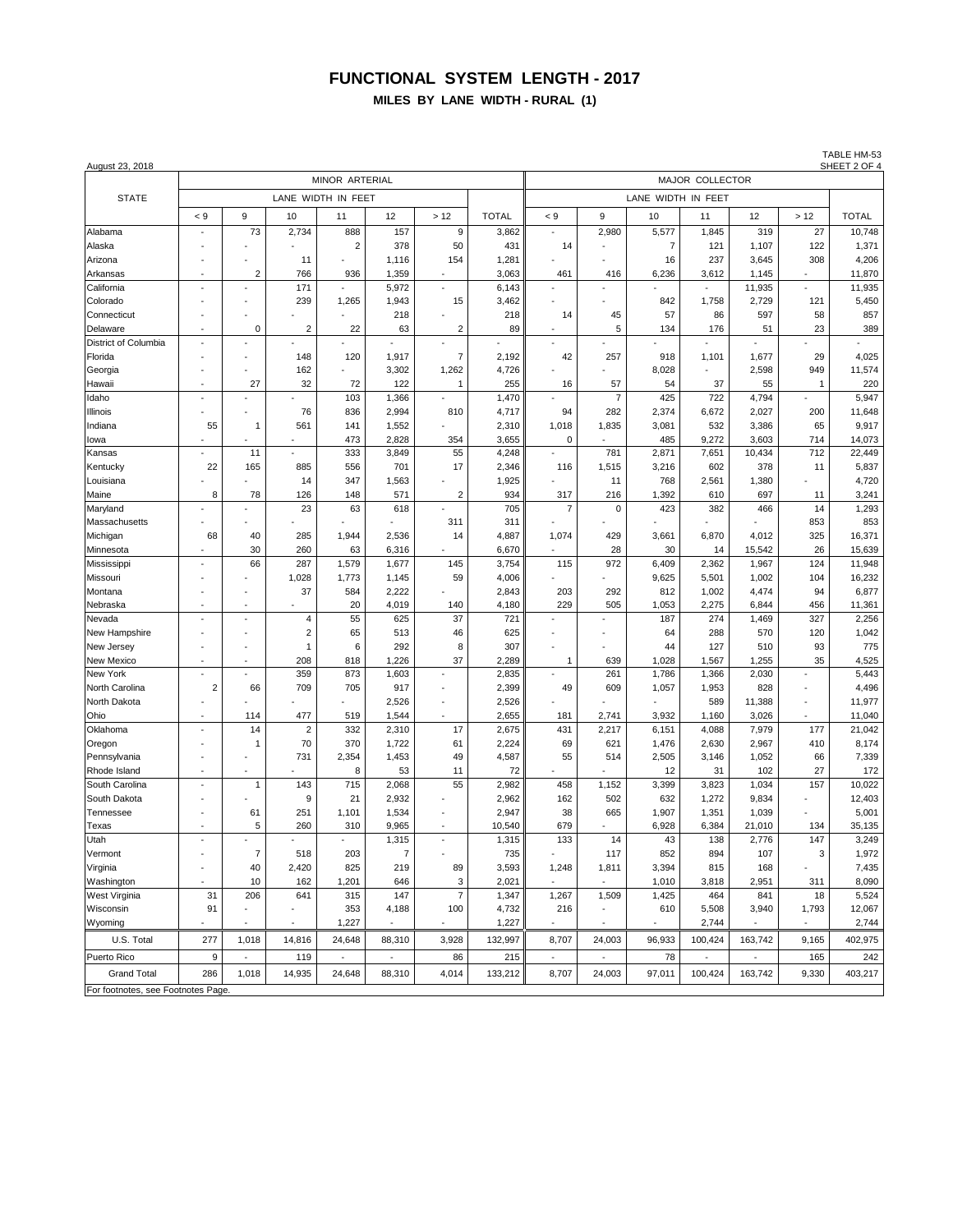**MILES BY LANE WIDTH - RURAL (1)**

| August 23, 2018                    |          | TABLE HM-53<br>SHEET 2 OF 4 |                        |                          |                                    |                          |                |                    |                          |                |                           |                           |                      |                |  |
|------------------------------------|----------|-----------------------------|------------------------|--------------------------|------------------------------------|--------------------------|----------------|--------------------|--------------------------|----------------|---------------------------|---------------------------|----------------------|----------------|--|
|                                    |          |                             |                        | MINOR ARTERIAL           |                                    |                          |                | MAJOR COLLECTOR    |                          |                |                           |                           |                      |                |  |
| <b>STATE</b>                       |          |                             |                        | LANE WIDTH IN FEET       |                                    |                          |                | LANE WIDTH IN FEET |                          |                |                           |                           |                      |                |  |
|                                    | < 9      | 9                           | 10                     | 11                       | 12                                 | >12                      | <b>TOTAL</b>   | $\lt 9$            | 9                        | 10             | 11                        | 12                        | >12                  | <b>TOTAL</b>   |  |
| Alabama                            |          | 73                          | 2,734                  | 888                      | 157                                | $\boldsymbol{9}$         | 3,862          |                    | 2,980                    | 5,577          | 1,845                     | 319                       | 27                   | 10,748         |  |
| Alaska                             |          |                             |                        | $\overline{2}$           | 378                                | 50                       | 431            | 14                 |                          | $\overline{7}$ | 121                       | 1,107                     | 122                  | 1,371          |  |
| Arizona                            |          |                             | 11                     |                          | 1,116                              | 154                      | 1,281          |                    |                          | 16             | 237                       | 3,645                     | 308                  | 4,206          |  |
| Arkansas                           |          | $\overline{2}$              | 766                    | 936                      | 1,359                              | $\overline{\phantom{a}}$ | 3,063          | 461                | 416                      | 6,236          | 3,612                     | 1,145                     |                      | 11,870         |  |
| California                         |          |                             | 171                    |                          | 5,972                              | ÷,                       | 6,143          |                    | $\overline{a}$           |                |                           | 11,935                    |                      | 11,935         |  |
| Colorado                           |          |                             | 239                    | 1,265                    | 1,943                              | 15                       | 3,462          |                    |                          | 842            | 1,758                     | 2,729                     | 121                  | 5,450          |  |
| Connecticut                        |          |                             |                        |                          | 218                                |                          | 218            | 14                 | 45                       | 57             | 86                        | 597                       | 58                   | 857            |  |
| Delaware                           |          | 0                           | $\overline{2}$         | 22                       | 63                                 | 2                        | 89             |                    | 5                        | 134            | 176                       | 51                        | 23                   | 389            |  |
| District of Columbia               |          |                             |                        |                          |                                    | ÷,                       |                |                    |                          |                |                           |                           |                      |                |  |
| Florida                            |          |                             | 148                    | 120                      | 1,917                              | 7                        | 2,192          | 42                 | 257                      | 918            | 1,101                     | 1,677                     | 29                   | 4,025          |  |
| Georgia                            |          |                             | 162                    |                          | 3,302                              | 1,262                    | 4,726          |                    |                          | 8,028          |                           | 2,598                     | 949                  | 11,574         |  |
| Hawaii                             |          | 27                          | 32                     | 72                       | 122                                | $\mathbf{1}$             | 255            | 16                 | 57                       | 54             | 37                        | 55                        | $\mathbf{1}$         | 220            |  |
| Idaho                              |          |                             |                        | 103                      | 1,366                              |                          | 1,470          |                    | $\overline{7}$           | 425            | 722                       | 4,794                     |                      | 5,947          |  |
| Illinois                           |          | ä,                          | 76                     | 836                      | 2,994                              | 810                      | 4,717          | 94                 | 282                      | 2,374          | 6,672                     | 2,027                     | 200                  | 11,648         |  |
| Indiana                            | 55       | 1                           | 561                    | 141                      | 1,552                              |                          | 2,310          | 1,018              | 1,835                    | 3,081          | 532                       | 3,386                     | 65                   | 9,917          |  |
| lowa                               |          | $\overline{\phantom{a}}$    | $\sim$                 | 473                      | 2,828                              | 354                      | 3,655          | 0                  | $\overline{a}$           | 485            | 9,272                     | 3,603                     | 714                  | 14,073         |  |
| Kansas                             |          | 11                          |                        | 333                      | 3,849                              | 55                       | 4,248          |                    | 781                      | 2,871          | 7,651                     | 10,434                    | 712                  | 22,449         |  |
| Kentucky                           | 22       | 165                         | 885                    | 556                      | 701                                | 17                       | 2,346          | 116                | 1,515                    | 3,216          | 602                       | 378                       | 11                   | 5,837          |  |
| Louisiana                          |          |                             | 14                     | 347                      | 1,563                              |                          | 1,925          |                    | 11                       | 768            | 2,561                     | 1,380                     |                      | 4,720          |  |
| Maine                              | 8        | 78                          | 126                    | 148                      | 571                                | $\overline{2}$           | 934            | 317                | 216                      | 1,392          | 610                       | 697                       | 11                   | 3,241          |  |
| Maryland                           |          |                             | 23                     | 63                       | 618                                |                          | 705            | $\overline{7}$     | $\mathbf 0$              | 423            | 382                       | 466                       | 14                   | 1,293          |  |
| Massachusetts                      |          |                             |                        |                          |                                    | 311                      | 311            |                    |                          |                |                           |                           | 853                  | 853            |  |
| Michigan                           | 68       | 40                          | 285                    | 1,944                    | 2,536                              | 14                       | 4,887          | 1,074              | 429                      | 3,661          | 6,870                     | 4,012                     | 325                  | 16,371         |  |
| Minnesota                          |          | 30                          | 260                    | 63                       | 6,316                              |                          | 6,670          |                    | 28                       | 30             | 14                        | 15,542                    | 26                   | 15,639         |  |
| Mississippi                        |          | 66                          | 287                    | 1,579                    | 1,677                              | 145                      | 3,754          | 115                | 972                      | 6,409          | 2,362                     | 1,967                     | 124                  | 11,948         |  |
| Missouri                           |          |                             | 1,028                  | 1,773                    | 1,145                              | 59                       | 4,006          |                    |                          | 9,625          | 5,501                     | 1,002                     | 104                  | 16,232         |  |
| Montana                            |          |                             | 37                     | 584                      | 2,222                              |                          | 2,843          | 203                | 292                      | 812            | 1,002                     | 4,474                     | 94                   | 6,877          |  |
| Nebraska                           |          | ÷,                          |                        | 20                       | 4,019                              | 140                      | 4,180          | 229                | 505                      | 1,053          | 2,275                     | 6,844                     | 456                  | 11,361         |  |
| Nevada                             |          | ÷.                          | $\overline{4}$         | 55                       | 625                                | 37                       | 721            |                    |                          | 187            | 274                       | 1,469                     | 327                  | 2,256          |  |
| New Hampshire                      |          | $\overline{\phantom{a}}$    | $\boldsymbol{2}$       | 65                       | 513                                | 46                       | 625            | ٠                  | ٠                        | 64             | 288                       | 570                       | 120                  | 1,042          |  |
| New Jersey                         |          |                             | $\mathbf{1}$           | 6                        | 292                                | 8                        | 307            |                    |                          | 44             | 127                       | 510                       | 93                   | 775            |  |
| New Mexico                         |          | ÷,                          | 208                    | 818                      | 1,226                              | 37<br>÷,                 | 2,289          | 1                  | 639                      | 1,028          | 1,567                     | 1,255                     | 35                   | 4,525          |  |
| New York                           |          |                             | 359                    | 873                      | 1,603                              |                          | 2,835          |                    | 261                      | 1,786          | 1,366                     | 2,030                     | $\ddot{\phantom{1}}$ | 5,443          |  |
| North Carolina                     | 2        | 66                          | 709                    | 705                      | 917                                | $\overline{\phantom{a}}$ | 2,399          | 49                 | 609                      | 1,057          | 1,953                     | 828                       |                      | 4,496          |  |
| North Dakota                       |          |                             |                        |                          | 2,526                              | ä,                       | 2,526          |                    |                          |                | 589                       | 11,388                    | ä,                   | 11,977         |  |
| Ohio                               |          | 114<br>14                   | 477                    | 519<br>332               | 1,544<br>2,310                     | 17                       | 2,655          | 181<br>431         | 2,741<br>2,217           | 3,932          | 1,160<br>4,088            | 3,026                     |                      | 11,040         |  |
| Oklahoma                           |          | 1                           | $\boldsymbol{2}$<br>70 |                          |                                    |                          | 2,675          |                    |                          | 6,151          |                           | 7,979                     | 177                  | 21,042         |  |
| Oregon<br>Pennsylvania             |          | ÷,                          | 731                    | 370<br>2,354             | 1,722<br>1,453                     | 61<br>49                 | 2,224<br>4,587 | 69<br>55           | 621<br>514               | 1,476<br>2,505 | 2,630<br>3,146            | 2,967<br>1,052            | 410<br>66            | 8,174<br>7,339 |  |
| Rhode Island                       |          | $\blacksquare$              |                        | 8                        | 53                                 | 11                       | 72             |                    | ä,                       | 12             | 31                        | 102                       | 27                   | 172            |  |
| South Carolina                     |          | 1                           | 143                    | 715                      | 2,068                              | 55                       | 2,982          | 458                | 1,152                    | 3,399          | 3,823                     | 1,034                     | 157                  | 10,022         |  |
| South Dakota                       |          |                             | 9                      | 21                       | 2,932                              |                          | 2,962          | 162                | 502                      | 632            | 1,272                     | 9,834                     |                      | 12,403         |  |
| Tennessee                          |          | 61                          | 251                    | 1,101                    | 1,534                              | ÷,                       | 2,947          | 38                 | 665                      | 1,907          | 1,351                     | 1,039                     |                      | 5,001          |  |
| Texas                              |          | 5                           | 260                    | 310                      | 9,965                              | $\overline{\phantom{a}}$ | 10,540         | 679                |                          | 6,928          | 6,384                     | 21,010                    | 134                  | 35,135         |  |
| Utah                               |          |                             |                        | $\blacksquare$           | 1,315                              | ÷,                       | 1,315          | 133                | 14                       | 43             | 138                       | 2,776                     | 147                  | 3,249          |  |
| Vermont                            |          |                             | 518                    | 203                      | $\prime$                           |                          |                |                    |                          | 852            | 894                       |                           | 3                    | 1,972          |  |
| Virginia                           | $\sim$   | 40                          | 2,420                  | 825                      | 219                                | 89                       | 735<br>3,593   | 1,248              | 117<br>1,811             | 3,394          | 815                       | 107<br>168                |                      | 7,435          |  |
| Washington                         |          | 10                          | 162                    | 1,201                    | 646                                | 3                        | 2,021          |                    |                          | 1,010          | 3,818                     | 2,951                     | 311                  | 8,090          |  |
| West Virginia                      | 31       | 206                         | 641                    | 315                      | 147                                | $\overline{\mathcal{I}}$ | 1,347          | 1,267              | 1,509                    | 1,425          | 464                       | 841                       | 18                   | 5,524          |  |
| Wisconsin                          | 91       | $\overline{\phantom{a}}$    |                        | 353                      | 4,188                              | 100                      | 4,732          | 216                | $\overline{\phantom{a}}$ | 610            | 5,508                     | 3,940                     | 1,793                | 12,067         |  |
| Wyoming                            |          | $\blacksquare$              |                        | 1,227                    |                                    |                          | 1,227          |                    |                          |                | 2,744                     |                           |                      | 2,744          |  |
|                                    |          |                             |                        |                          |                                    |                          |                |                    |                          |                |                           |                           |                      |                |  |
| U.S. Total<br>Puerto Rico          | 277      | 1,018                       | 14,816                 | 24,648<br>$\blacksquare$ | 88,310                             | 3,928                    | 132,997        | 8,707              | 24,003                   | 96,933<br>78   | 100,424<br>$\blacksquare$ | 163,742<br>$\blacksquare$ | 9,165                | 402,975        |  |
| <b>Grand Total</b>                 | 9<br>286 | $\blacksquare$<br>1,018     | 119<br>14,935          | 24,648                   | $\overline{\phantom{a}}$<br>88,310 | 86<br>4,014              | 215<br>133,212 | 8,707              | $\blacksquare$<br>24,003 | 97,011         | 100,424                   | 163,742                   | 165<br>9,330         | 242<br>403,217 |  |
| For footnotes, see Footnotes Page. |          |                             |                        |                          |                                    |                          |                |                    |                          |                |                           |                           |                      |                |  |

TABLE HM-53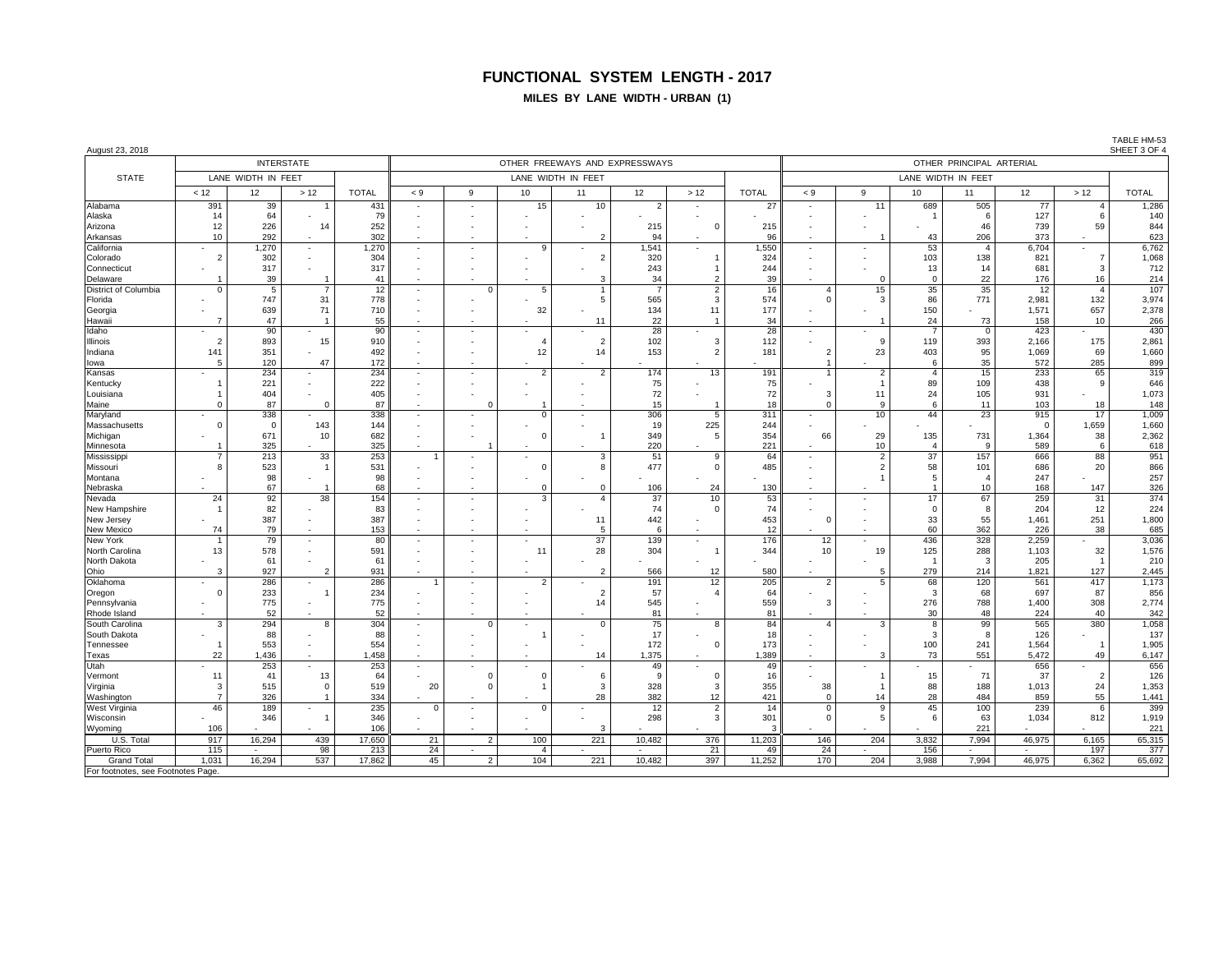**MILES BY LANE WIDTH - URBAN (1)**

| August 23, 2018                   |                |                    |                          |              |                          |                |                |                                |           |                |              |                |                                |                     |                          |                 |                | SHEET 3 OF 4 |
|-----------------------------------|----------------|--------------------|--------------------------|--------------|--------------------------|----------------|----------------|--------------------------------|-----------|----------------|--------------|----------------|--------------------------------|---------------------|--------------------------|-----------------|----------------|--------------|
|                                   |                |                    | <b>INTERSTATE</b>        |              |                          |                |                | OTHER FREEWAYS AND EXPRESSWAYS |           |                |              |                |                                |                     | OTHER PRINCIPAL ARTERIAL |                 |                |              |
| <b>STATE</b>                      |                | LANE WIDTH IN FEET |                          |              |                          |                |                | LANE WIDTH IN FEET             |           |                |              |                |                                |                     | LANE WIDTH IN FEET       |                 |                |              |
|                                   | < 12           | 12                 | >12                      | <b>TOTAL</b> | < 9                      | 9              | 10             | 11                             | 12        | >12            | <b>TOTAL</b> | < 9            | 9                              | 10                  | 11                       | 12 <sup>°</sup> | $>12$          | <b>TOTAL</b> |
| Alabama                           | 391            | 39                 |                          | 431          | ٠                        |                | 15             | 10                             | 2         |                | 27           |                | 11                             | 689                 | 505                      | 77              | $\overline{4}$ | 1,286        |
| Alaska                            | 14             | 64                 |                          | 79           |                          |                |                |                                |           |                |              |                |                                |                     | 6                        | 127             | 6              | 140          |
| Arizona                           | 12             | 226                | 14                       | 252          |                          |                |                |                                | 215       | $\Omega$       | 215          |                |                                |                     | 46                       | 739             | 59             | 844          |
| Arkansas                          | 10             | 292                |                          | 302          |                          |                |                |                                | 94        |                | 96           |                | -1                             | 43                  | 206                      | 373             |                | 623          |
| California                        |                | 1,270              |                          | 1,270        |                          |                | a              |                                | 1,541     |                | 1,550        |                |                                | 53                  | $\overline{4}$           | 6,704           |                | 6,762        |
| Colorado                          | $\overline{2}$ | 302                |                          | 304          |                          |                |                |                                | 320       |                | 324          |                |                                | 103                 | 138                      | 821             | $\overline{7}$ | 1,068        |
| Connecticut                       |                | 317                |                          | 317          |                          |                |                |                                | 243       |                | 244          |                |                                | 13                  | 14                       | 681             | $\overline{3}$ | 712          |
| Delaware                          |                | 39                 |                          | 41           |                          |                |                |                                | 34        | 2              | 39           |                | $\Omega$                       | $\mathbf 0$         | 22                       | 176             | 16             | 214          |
| District of Columbia              | $\Omega$       | -5                 | 7                        | 12           | $\overline{\phantom{a}}$ | $\Omega$       | 5              |                                | -7        | $\overline{2}$ | 16           | $\overline{4}$ | 15                             | 35                  | 35                       | 12              | $\overline{4}$ | 107          |
| Florida                           |                | 747                | 31                       | 778          | ٠                        |                |                |                                | 565       | 3              | 574          | $\Omega$       | 3                              | 86                  | 771                      | 2.981           | 132            | 3,974        |
| Georgia                           |                | 639                | 71                       | 710          |                          |                | 32             |                                | 134       | 11             | 177          |                |                                | 150                 |                          | 1.571           | 657            | 2,378        |
| Hawaii                            | $\overline{7}$ | 47                 | -1                       | 55           |                          |                |                | 11                             | 22        | -1             | 34           | ٠              |                                | 24                  | 73                       | 158             | 10             | 266          |
| Idaho                             |                | 90                 |                          | 90           |                          |                |                |                                | 28        |                | 28           |                |                                |                     | $\mathbf 0$              | 423             |                | 430          |
| Illinois                          | $\overline{2}$ | 893                | 15                       | 910          | ٠                        |                |                | $\overline{2}$                 | 102       | 3              | 112          |                | 9                              | 119                 | 393                      | 2,166           | 175            | 2,861        |
| Indiana                           | 141            | 351                | ٠                        | 492          |                          |                | 12             | 14                             | 153       | $\overline{2}$ | 181          |                | 23                             | 403                 | 95                       | 1,069           | 69             | 1,660        |
| lowa                              | 5              | 120<br>234         | 47                       | 172<br>234   | $\sim$                   |                |                |                                | 174       | 13             |              |                |                                | 6<br>$\overline{4}$ | 35<br>15                 | 572<br>233      | 285<br>65      | 899<br>319   |
| Kansas                            |                | 221                |                          | 222          |                          |                |                |                                | 75        |                | 191<br>75    |                | $\overline{2}$<br>$\mathbf{1}$ | 89                  | 109                      | 438             | 9              | 646          |
| Kentucky<br>Louisiana             |                | 404                |                          | 405          |                          |                |                |                                | 72        |                | 72           |                | 11                             | 24                  | 105                      | 931             |                | 1,073        |
| Maine                             | $\Omega$       | 87                 | $\Omega$                 | 87           |                          |                |                |                                | 15        |                | 18           |                | $\mathsf{Q}$                   | 6                   | 11                       | 103             | 18             | 148          |
| Maryland                          |                | 338                |                          | 338          |                          |                |                |                                | 306       | 5              | 311          |                | 10                             | 44                  | 23                       | 915             | 17             | 1,009        |
| Massachusetts                     | $\Omega$       | $\overline{0}$     | 143                      | 144          | ٠                        |                |                |                                | 19        | 225            | 244          |                |                                |                     |                          | $\Omega$        | 1,659          | 1,660        |
| Michigan                          |                | 671                | 10                       | 682          |                          |                | $\mathcal{C}$  |                                | 349       | 5              | 354          | 66             | 29                             | 135                 | 731                      | 1,364           | 38             | 2,362        |
| Minnesota                         |                | 325                |                          | 325          |                          |                |                |                                | 220       |                | 221          |                | 10                             | $\overline{4}$      | 9                        | 589             | 6              | 618          |
| Mississippi                       |                | 213                | 33                       | 253          |                          |                |                |                                | 51        | 9              | 64           |                | $\overline{2}$                 | 37                  | 157                      | 666             | 88             | 951          |
| Missouri                          | 8              | 523                |                          | 531          |                          |                | $\Omega$       | 8                              | 477       | $\overline{0}$ | 485          |                | $\overline{2}$                 | 58                  | 101                      | 686             | 20             | 866          |
| Montana                           |                | 98                 |                          | 98           |                          |                |                |                                |           |                |              |                | $\overline{1}$                 | 5                   | $\overline{4}$           | 247             |                | 257          |
| Nebraska                          |                | 67                 |                          | 68           |                          |                |                |                                | 106       | 24             | 130          |                |                                |                     | 10                       | 168             | 147            | 326          |
| Nevada                            | 24             | 92                 | 38                       | 154          |                          |                | $\mathcal{R}$  |                                | 37        | 10             | 53           |                |                                | 17                  | 67                       | 259             | 31             | 374          |
| New Hampshire                     | $\overline{1}$ | 82                 |                          | 83           |                          |                |                |                                | 74        | $\Omega$       | 74           |                |                                | $\mathbf 0$         | 8                        | 204             | 12             | 224          |
| New Jersey                        |                | 387                |                          | 387          |                          |                |                | 11                             | 442       |                | 453          |                |                                | 33                  | 55                       | 1,461           | 251            | 1,800        |
| <b>New Mexico</b>                 | 74             | 79                 |                          | 153          |                          |                |                |                                | 6         |                | 12           |                |                                | 60                  | 362                      | 226             | 38             | 685          |
| <b>New York</b>                   | $\mathbf{1}$   | 79                 | $\sim$                   | 80           |                          |                |                | 37                             | 139       | $\sim$         | 176          | 12             |                                | 436                 | 328                      | 2,259           |                | 3,036        |
| North Carolina                    | 13             | 578                |                          | 591          |                          |                | 11             | 28                             | 304       |                | 344          | 10             | 19                             | 125                 | 288                      | 1,103           | 32             | 1,576        |
| North Dakota                      |                | 61                 |                          | 61           |                          |                |                |                                |           |                |              |                |                                | $\overline{1}$      | 3                        | 205             | $\overline{1}$ | 210          |
| Ohio                              | 3              | 927                | $\overline{2}$           | 931          |                          |                |                |                                | 566       | 12             | 580          |                | 5                              | 279                 | 214                      | 1,821           | 127            | 2,445        |
| Oklahoma                          | $\Omega$       | 286<br>233         | ×,                       | 286          |                          |                |                | $\overline{2}$                 | 191       | 12             | 205          | 2              | 5                              | 68<br>3             | 120<br>68                | 561<br>697      | 417            | 1,173        |
| Oregon<br>Pennsylvania            |                | 775                |                          | 234<br>775   | ×,                       |                |                | 14                             | 57<br>545 |                | 64<br>559    | 3              |                                | 276                 | 788                      | 1.400           | 87<br>308      | 856<br>2,774 |
| Rhode Island                      |                | 52                 |                          | 52           |                          |                |                |                                | 81        |                | 81           |                |                                | 30                  | 48                       | 224             | 40             | 342          |
| South Carolina                    | 3              | 294                | 8                        | 304          | $\overline{\phantom{a}}$ | $\Omega$       |                |                                | 75        | 8              | 84           | $\overline{a}$ | 3                              | 8                   | 99                       | 565             | 380            | 1,058        |
| South Dakota                      |                | 88                 |                          | 88           |                          |                |                |                                | 17        |                | 18           |                |                                | 3                   | 8                        | 126             |                | 137          |
| Tennessee                         | $\mathbf{1}$   | 553                | ٠                        | 554          | ٠                        |                |                |                                | 172       | $\Omega$       | 173          | $\sim$         |                                | 100                 | 241                      | 1.564           | $\overline{1}$ | 1,905        |
| Texas                             | 22             | 1,436              |                          | 1,458        |                          |                |                | 14                             | 1,375     |                | 1,389        |                | 3                              | 73                  | 551                      | 5,472           | 49             | 6,147        |
| Utah                              |                | 253                | ٠                        | 253          | ٠                        |                |                |                                | 49        |                | 49           | $\mathbf{r}$   |                                |                     |                          | 656             |                | 656          |
| Vermont                           | 11             | 41                 | 13                       | 64           |                          | $\Omega$       | C              | 6                              | 9         | $\overline{0}$ | 16           |                | $\overline{1}$                 | 15                  | 71                       | 37              | $\overline{2}$ | 126          |
| Virginia                          | 3              | 515                | $\Omega$                 | 519          | 20                       | $\Omega$       |                | 3                              | 328       | 3              | 355          | 38             | $\mathbf{1}$                   | 88                  | 188                      | 1,013           | 24             | 1,353        |
| Washington                        | $\overline{7}$ | 326                |                          | 334          | $\sim$                   |                |                | 28                             | 382       | 12             | 421          | $\Omega$       | 14                             | 28                  | 484                      | 859             | 55             | 1,441        |
| West Virginia                     | 46             | 189                | $\overline{\phantom{a}}$ | 235          | $\Omega$                 |                | $\Omega$       |                                | 12        | $\overline{2}$ | 14           | $\Omega$       | 9                              | 45                  | 100                      | 239             | 6              | 399          |
| Wisconsin                         |                | 346                | $\overline{1}$           | 346          | ٠                        |                |                |                                | 298       | 3              | 301          | $\Omega$       | 5                              | 6                   | 63                       | 1,034           | 812            | 1,919        |
| Wyoming                           | 106            |                    |                          | 106          |                          |                |                |                                |           |                |              |                |                                |                     | 221                      |                 |                | 221          |
| U.S. Total                        | 917            | 16,294             | 439                      | 17,650       | 21                       | $\overline{2}$ | 100            | 221                            | 10,482    | 376            | 11,203       | 146            | 204                            | 3,832               | 7,994                    | 46,975          | 6,165          | 65,315       |
| <b>Puerto Rico</b>                | 115            | $\sim$             | 98                       | 213          | 24                       | ×.             | $\overline{4}$ | ٠                              | ٠         | 21             | 49           | 24             |                                | 156                 | $\sim$                   | $\sim$          | 197            | 377          |
| <b>Grand Total</b>                | 1,031          | 16,294             | 537                      | 17,862       | 45                       | $\overline{2}$ | 104            | 221                            | 10,482    | 397            | 11,252       | 170            | 204                            | 3,988               | 7,994                    | 46,975          | 6,362          | 65,692       |
| For footnotes, see Footnotes Page |                |                    |                          |              |                          |                |                |                                |           |                |              |                |                                |                     |                          |                 |                |              |

TABLE HM-53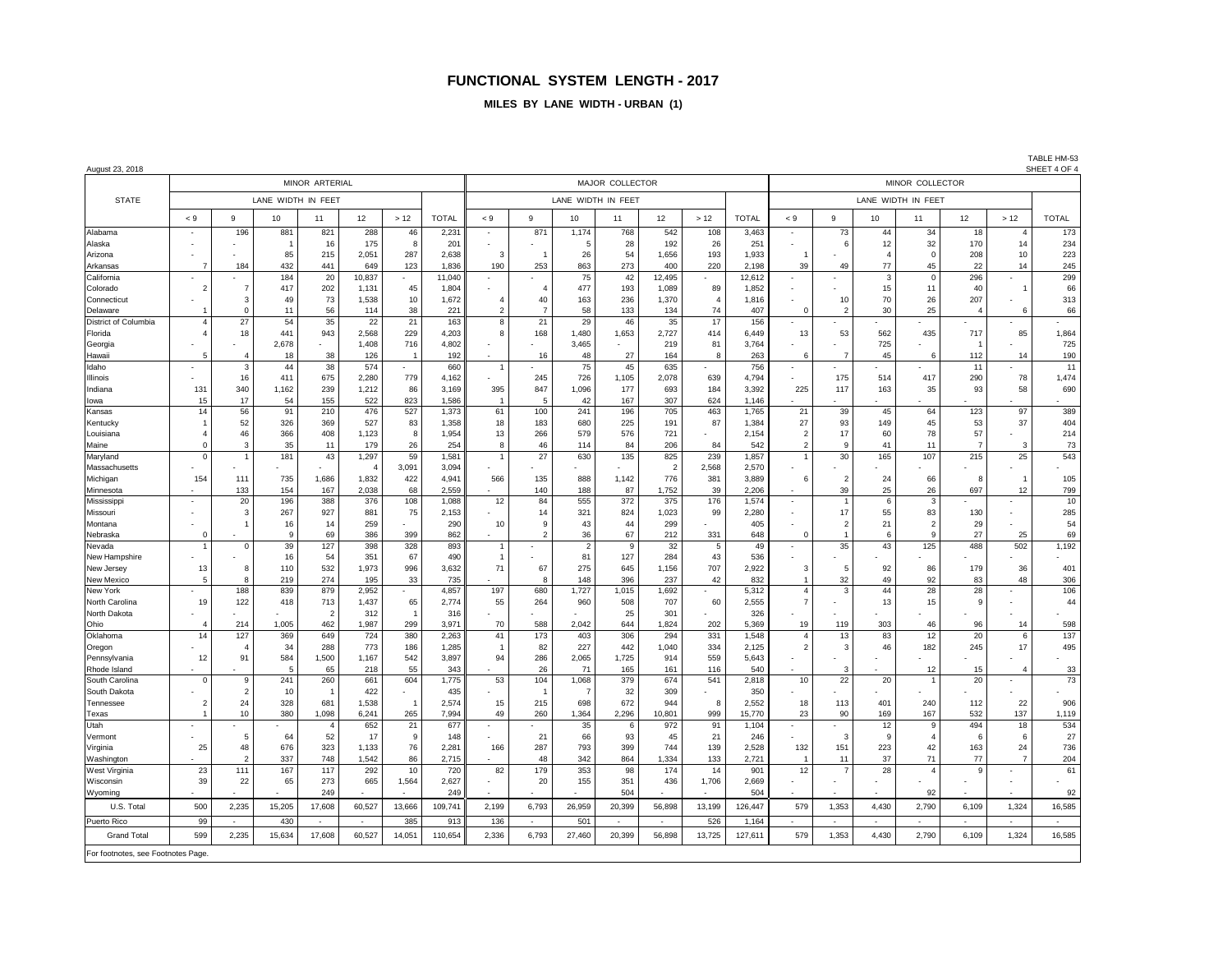#### **MILES BY LANE WIDTH - URBAN (1)**

| August 23, 2018 |  |  |
|-----------------|--|--|

August 23, 2018 SHEET 4 OF 4 MINOR ARTERIAL MAJOR COLLECTOR MINOR COLLECTOR STATE I LANE WIDTH IN FEET LANE LANE WIDTH IN FEET LANE WIDTH IN FEET LANE WIDTH IN FEET LANE WIDTH IN FEET LANE WIDTH IN FEET <9 | 9 | 10 | 11 | 12 | >12 | TOTAL | <9 | 9 | 10 | 11 | 12 | >12 | TOTAL | <9 | 9 | 32 | TOTAL | <9 | 9 | 10 | 11 | 12 | >12 | TOTAL Alabama | - | 196 | 881 | 821 | 288 | 46 | 2,231 | - | 871 | 1,174 | 768 | 542 | 108 | 3,463 || - | 73 | 44 | 34 | 18 | - 4 | 173 Alaska | - | - | 1 | 16 | 175 | 8 | 201 | - | - | 5 | 28 | 192 | 26 | 251 || - | 6 | 12 | 32 | 170 | 14 | 234 Arizona - - 85 215 2,051 287 2,638 3 1 26 54 1,656 193 1,933 1 - 4 0 208 10 223 Arkansas | 7 | 184 | 432 | 441 | 649 | 123 | 1,836 || 190 | 253 | 863 | 273 | 400 | 220 | 2,198 || 39 | 49 | 77 | 45 | 22 | 14 | 245 California - | - | - | 184 | 20 | 10,837 | - | 11,040 | - | - | 75 | - 42 | 12,495 | - | 12,612 || - | - | - 3 | - 0 | - 296 | - | - 299 | - | - 299 | - | - 299 | - | - 299 | - | - 299 | - | - 299 | - | - 299 | - | - 299 | Colorado | 2| 7| 417| 202| 1,131| 45| 1,804| - | 4| 477| 193| 1,089| 89| 1,852|| - | - | 15| 11| -40| - 1| -66 Connecticut | | 3| 49| 73| 1,538| 10| 1,672| 4| 40| 163| 236| 1,370| 4| 1,816|| - | 10| 70| 26| 207| - | 313 Delaware | 1 | 0 | 11 | 56 | 114 | 38 | 221 | 2 | 7 | 58 | 133 | 134 | 74 | 407 || 0 | 2 | 30 | 25 | 4 | 6 | 66 District of Columbia | 4 | 27 | 54 | 35 | 22 | 21 | 163 | 8 | 21 | 29 | 46 | 35 | 17 | 156 || - | - | - | - | - | - | - | - | -Florida | 4| 18| 441| 943| 2,568| 229| 4,203| 8| 168| 1,480| 1,653| 2,727| 414| 6,449|| 13| 53| 562| 435| 717| 85| 1,864 Georgia - | - | - | 2,678 | - | 1,408 | 716 | 4,802 | - | - | 3,465 - | 219 | 81 | 3,764 || - | - | 725 | - | - 1 | - | - 725 Hawaii | 5 | 4 | 18 | 38 | 126 | 1 | 192 | - | 16 | 48 | 27 | 164 | 8 | 263 || 6 | 7 | 45 | 6 | 112 | 14 | 190 Idaho | - | 3| 44| 38| 574| - | 660| 1| - | 75| 45| 635| - | 756|| - | - | - | - | - | 11| - | 11 Illinois | - | 16| 411| 675| 2,280| 779| 4,162| - | 245| 726| 1,105| 2,078| 639| 4,794|| - | 175| 514| 417| 290| 78| 1,474 Indiana | 131 | 340 | 1,162 | 239 | 1,212 | 86 | 3,169 | 395 | 847 | 1,096 | 177 | 693 | 184 | 3,392 || 225 | 117 | 163 | 35 | 93 | 58 | 690 Iowa 15 17 54 155 522 823 1,586 1 5 42 167 307 624 1,146 - - - - - - - Kansas | 14| 56| 91| 210| 476| 527| 1,373| 61| 100| 241| 196| 705| 463| 1,765|| 21| 39| 45| 64| 123| 97| 389 Kentucky | 1| 52| 326| 369| 527| 83| 1,358| 18| 183| 680| 225| 191| 87| 1,384|| 27| 93| 149| 45| 53| 37| 404 Louisiana | 4 46 366 408 1,123 8 1,954 13 266 579 576 721 - 2,154 2| 17 60 78 57 - 214 Maine 0 3 35 11 179 26 254 8 46 114 84 206 84 542 2 9 41 11 7 3 73 Maryland | 0| 1| 181| 43| 1,297| 59| 1,581| 1| 27| 630| 135| 825| 239| 1,857|| 1| 30| 165| 107| 215| 25| 543 Massachusetts - - - - 4 3,091 3,094 - - - - 2 2,568 2,570 - - - - - - - Michigan | 154 111 | 735 1,686 1,832 422 4,941 566 135 888 1,142 776 381 3,889 6 2 24 66 8 1 1 105 Minnesota | | 133 | 154 167 2,038 68 2,559 - | 140 188 87 1,752 39 2,206 | | 39 25 25 26 697 12 799 Mississippi | | | 20| 196| 388| 376| 108| 1,088| 12| 84| 555| 372| 375| 176| 1,574|| - | 1| 6| 3| - | - | 10 Missouri | - | 3| 267 | 927 | 881 | 75 | 2,153 | - | 14 | 321 | 824 | 1,023 | 99 | 2,280 || - | 17 | 55 | 83 | 130 | - | 285 Montana | | | 1| 16| 14| 259| | | 290| 10| 9| 43| 44| 299| | | 405|| | | | | | | | | | | | | | | | | | 54 Nebraska | 0 | - | 9 | 69 | 386 | 399 | 862 || - | 2 | 36 | 67 | 212 | 331 | 648 || 0 || 1 || 6 || 9 || 27 || 25 || 69 Nevada | 1 | 0 | 39 | 127 | 398 | 328 | 893 | 1 | - | 2 | 9 | 32 | 5 | 49 || - | 35 | 43 | 125 | 488 | 502 | 1,192 New Hampshire | - | - | 16| 54| 351| 67| 490| 1| - | 81| 127| 284| 43| 536|| - | - | - | - | - | - | - | -New Jersey | 13 | 8 | 110 | 532 | 1,973 | 996 | 3,632 | 71 | 67 | 275 | 645 | 1,156 | 707 | 2,922 || 3 | 5 | 92 | 86 | 179 | 36 | 401 New Mexico | 5| 8| 219| 274| 195| 33| 735| - | 8| 148| 396| 237| 42| 832|| 1| 32| 49| 92| 83| 48| 306 New York | | 188 | 839 | 879 | 2,952 | | 4,857 | 197 | 680 | 1,727 | 1,015 | 1,692 | | 5,312 || | 4 | 3 | | 44 | 28 | 28 | | 106 North Carolina | 19 122 418 713 1,437 65 2,774 55 264 960 508 707 60 2,555 7 - 13 13 15 9 - 44 North Dakota - | - | - | - | 2 | 312 | 1 | 316 | - | - | - | 25 | 301 | - | 326 || - | - | - | - | - | - | - | Ohio | 4| 214| 1,005| 462| 1,987| 299| 3,971| 70| 588| 2,042| 644| 1,824| 202| 5,369|| 19| 119| 303| 46| 96| 14| 598 Oklahoma | 14| 127| 369| 649| 724| 380| 2,263| 41| 173| 403| 306| 294| 331| 1,548|| 4| 13| 83| 12| 20| 6| 137 Oregon | - | 4| 34| 288| 773| 186| 1,285| 1| 82| 227| 442| 1,040| 334| 2,125|| 2| 3| 46| 182| 245| 17| 495 Pennsylvania | 12 91 584 1,500 1,167 542 3,897 94 286 2,065 1,725 914 559 5,643 - - - - - - - - - - -Rhode Island I - I - I 5 | 65 | 218 | 55 | 343 | - | 26 | 71 | 165 | 161 | 116 | 540 || - | 3 | - | 12 | 15 | 4 | 33 South Carolina | 0 | 9 |241 |260 | 661 | 604 | 1,775 | 53 | 104 | 1,068 | 379 | 674 | 541 | 2,818 || 10 | 22 | 20 | 1 | 20 | - | 73 South Dakota - 2 10 1 422 - 435 - 1 7 32 309 - 350 - - - - - - - Tennessee | 2| 24| 328| 681| 1,538| 1| 2,574| 15| 215| 698| 672| 944| 8| 2,552|| 18| 113| 401| 240| 112| 22| 906 Texas | 1| 10| 380| 1,098| 6,241| 265| 7,994| 49| 260| 1,364| 2,296| 10,801| 999| 15,770|| 23| 90| 169| 167| 532| 137| 1,119 Utah | - | - | - | 4 | 652 | 21 | 677 | - | - | 35 | 6 | 972 | 91 | 1,104 || - | - | 12 | 9 | 494 | 18 | 534 Vermont | | 5| 64| 52| 17| 9| 148| | 21| 66| 93| 45| 21| 246|| | 3| 9| 4| 6| 6| 27 Virginia | 25 | 48 | 676 | 323 | 1,133 | 76 | 2,281 | 166 | 287 | 793 | 399 | 744 | 139 | 2,528 || 132 | 151 | 223 | 42 | 163 | 24 | 736 Washington | | 2| 337| 748| 1,542| 86| 2,715| - | 48| 342| 864| 1,334| 133| 2,721|| 1| 11| 37| 71| 77| 7| 204 West Virginia | 23 | 111 | 167 | 117 | 292 | 10 | 720 | 82 | 179 | 353 | 98 | 174 | 14 | 901 || 12 | 7 | 28 | 4 | 9 | - | 61 Wisconsin 39 22 65 273 665 1,564 2,627 - 20 155 351 436 1,706 2,669 - - - - - - - Wyoming | - | - | - | 249 | - | - | 249 | - | - | - | 504 | - | - | 504 || - | - | - | 92 | - | - | 92 U.S. Total | 500 | 2,235 | 15,205 | 17,608 | 60,527 | 13,666 | 109,741 | 2,199 | 6,793 | 26,959 | 20,399 | 56,898 | 13,199 | 126,447 || 579 | 1,353 | 4,430 | 2,790 | 6,109 | 1,324 | 16,585 Puerto Rico | 99 - | 430 | - | - | 385 | 913 | 136 | - | 501 | - | - | 526 | 1,164 || - | - | - | - | - | - | - | -Grand Total | 599 | 2,235 | 15,634 | 17,608 | 60,527 | 14,051 | 110,654 | 2,336 | 6,793 | 27,460 | 20,399 | 56,898 | 1,3725 | 127,611 || 579 | 1,353 | 4,430 | 2,790 | 6,109 | 1,324 | 16,585

For footnotes, see Footnotes Page.

TABLE HM-53<br>SHEET 4 OF 4